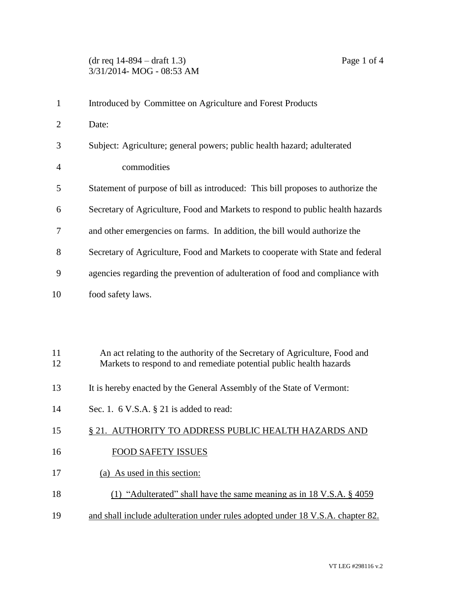## (dr req 14-894 – draft 1.3) Page 1 of 4 3/31/2014- MOG - 08:53 AM

| $\mathbf{1}$   | Introduced by Committee on Agriculture and Forest Products                      |
|----------------|---------------------------------------------------------------------------------|
| $\overline{2}$ | Date:                                                                           |
| 3              | Subject: Agriculture; general powers; public health hazard; adulterated         |
| 4              | commodities                                                                     |
| 5              | Statement of purpose of bill as introduced: This bill proposes to authorize the |
| 6              | Secretary of Agriculture, Food and Markets to respond to public health hazards  |
| 7              | and other emergencies on farms. In addition, the bill would authorize the       |
| 8              | Secretary of Agriculture, Food and Markets to cooperate with State and federal  |
| 9              | agencies regarding the prevention of adulteration of food and compliance with   |
| 10             | food safety laws.                                                               |
|                |                                                                                 |
|                |                                                                                 |
| 11             | An act relating to the authority of the Secretary of Agriculture, Food and      |
| 12             | Markets to respond to and remediate potential public health hazards             |
| 13             | It is hereby enacted by the General Assembly of the State of Vermont:           |
| 14             | Sec. 1. $6$ V.S.A. $\S$ 21 is added to read:                                    |
| 15             | § 21. AUTHORITY TO ADDRESS PUBLIC HEALTH HAZARDS AND                            |
| 16             | <b>FOOD SAFETY ISSUES</b>                                                       |
|                |                                                                                 |

- 17 (a) As used in this section:
- 18 (1) "Adulterated" shall have the same meaning as in 18 V.S.A. § 4059
- 19 and shall include adulteration under rules adopted under 18 V.S.A. chapter 82.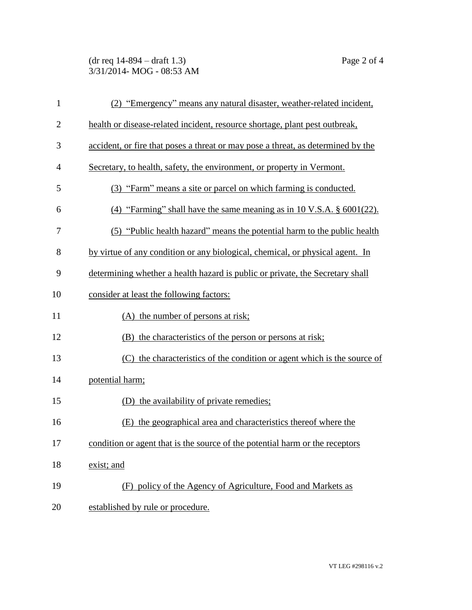## (dr req 14-894 – draft 1.3) Page 2 of 4 3/31/2014- MOG - 08:53 AM

| $\mathbf{1}$   | (2) "Emergency" means any natural disaster, weather-related incident,            |
|----------------|----------------------------------------------------------------------------------|
| $\overline{2}$ | health or disease-related incident, resource shortage, plant pest outbreak,      |
| 3              | accident, or fire that poses a threat or may pose a threat, as determined by the |
| $\overline{4}$ | Secretary, to health, safety, the environment, or property in Vermont.           |
| 5              | (3) "Farm" means a site or parcel on which farming is conducted.                 |
| 6              | (4) "Farming" shall have the same meaning as in 10 V.S.A. $\S$ 6001(22).         |
| 7              | (5) "Public health hazard" means the potential harm to the public health         |
| 8              | by virtue of any condition or any biological, chemical, or physical agent. In    |
| 9              | determining whether a health hazard is public or private, the Secretary shall    |
| 10             | consider at least the following factors:                                         |
| 11             | (A) the number of persons at risk;                                               |
| 12             | (B) the characteristics of the person or persons at risk;                        |
| 13             | (C) the characteristics of the condition or agent which is the source of         |
| 14             | potential harm;                                                                  |
| 15             | (D) the availability of private remedies;                                        |
| 16             | (E) the geographical area and characteristics thereof where the                  |
| 17             | condition or agent that is the source of the potential harm or the receptors     |
| 18             | exist; and                                                                       |
| 19             | (F) policy of the Agency of Agriculture, Food and Markets as                     |
| 20             | established by rule or procedure.                                                |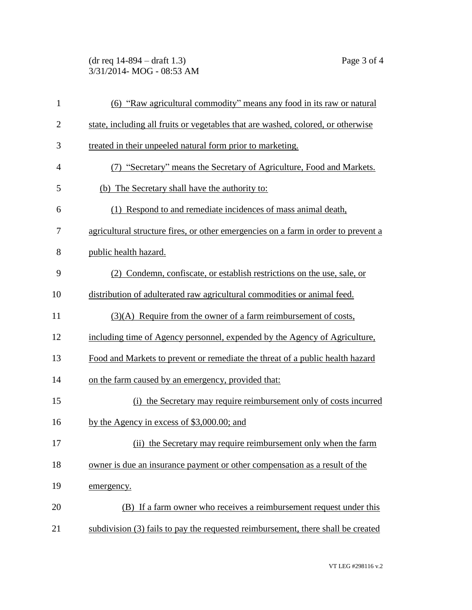(dr req 14-894 – draft 1.3) Page 3 of 4 3/31/2014- MOG - 08:53 AM

| $\mathbf{1}$   | (6) "Raw agricultural commodity" means any food in its raw or natural              |
|----------------|------------------------------------------------------------------------------------|
| $\overline{2}$ | state, including all fruits or vegetables that are washed, colored, or otherwise   |
| 3              | treated in their unpeeled natural form prior to marketing.                         |
| $\overline{4}$ | (7) "Secretary" means the Secretary of Agriculture, Food and Markets.              |
| 5              | (b) The Secretary shall have the authority to:                                     |
| 6              | (1) Respond to and remediate incidences of mass animal death,                      |
| 7              | agricultural structure fires, or other emergencies on a farm in order to prevent a |
| 8              | public health hazard.                                                              |
| 9              | (2) Condemn, confiscate, or establish restrictions on the use, sale, or            |
| 10             | distribution of adulterated raw agricultural commodities or animal feed.           |
| 11             | $(3)(A)$ Require from the owner of a farm reimbursement of costs,                  |
| 12             | including time of Agency personnel, expended by the Agency of Agriculture,         |
| 13             | Food and Markets to prevent or remediate the threat of a public health hazard      |
| 14             | on the farm caused by an emergency, provided that:                                 |
| 15             | (i) the Secretary may require reimbursement only of costs incurred                 |
| 16             | by the Agency in excess of \$3,000.00; and                                         |
| 17             | (ii) the Secretary may require reimbursement only when the farm                    |
| 18             | owner is due an insurance payment or other compensation as a result of the         |
| 19             | emergency.                                                                         |
| 20             | (B) If a farm owner who receives a reimbursement request under this                |
| 21             | subdivision (3) fails to pay the requested reimbursement, there shall be created   |